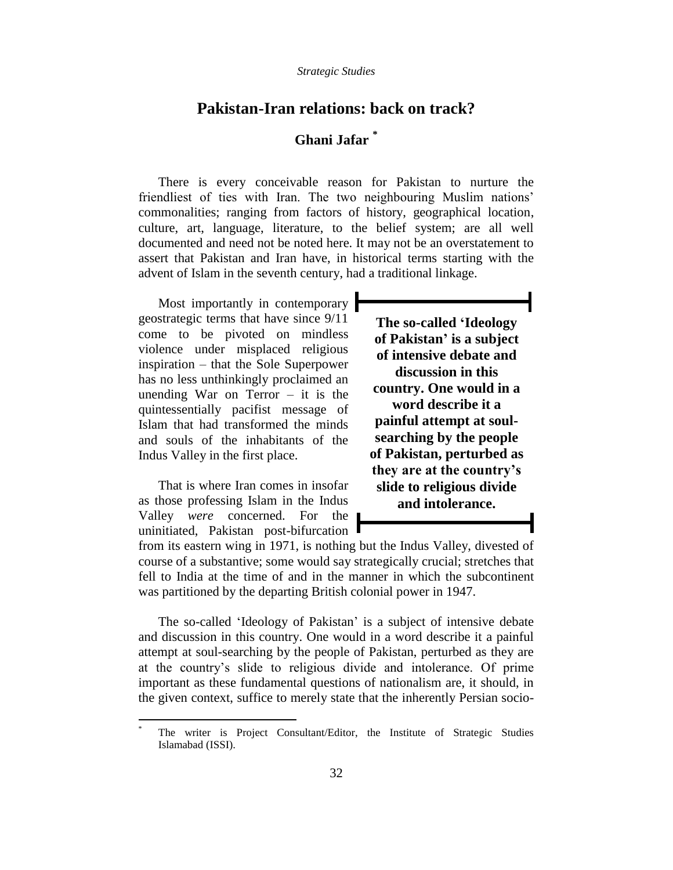## **Pakistan-Iran relations: back on track?**

# **Ghani Jafar \***

There is every conceivable reason for Pakistan to nurture the friendliest of ties with Iran. The two neighbouring Muslim nations' commonalities; ranging from factors of history, geographical location, culture, art, language, literature, to the belief system; are all well documented and need not be noted here. It may not be an overstatement to assert that Pakistan and Iran have, in historical terms starting with the advent of Islam in the seventh century, had a traditional linkage.

Most importantly in contemporary geostrategic terms that have since 9/11 come to be pivoted on mindless violence under misplaced religious inspiration – that the Sole Superpower has no less unthinkingly proclaimed an unending War on Terror  $-$  it is the quintessentially pacifist message of Islam that had transformed the minds and souls of the inhabitants of the Indus Valley in the first place.

That is where Iran comes in insofar as those professing Islam in the Indus Valley *were* concerned. For the uninitiated, Pakistan post-bifurcation

 $\overline{a}$ 

**The so-called 'Ideology of Pakistan' is a subject of intensive debate and discussion in this country. One would in a word describe it a painful attempt at soulsearching by the people of Pakistan, perturbed as they are at the country's slide to religious divide and intolerance.**

from its eastern wing in 1971, is nothing but the Indus Valley, divested of course of a substantive; some would say strategically crucial; stretches that fell to India at the time of and in the manner in which the subcontinent was partitioned by the departing British colonial power in 1947.

The so-called 'Ideology of Pakistan' is a subject of intensive debate and discussion in this country. One would in a word describe it a painful attempt at soul-searching by the people of Pakistan, perturbed as they are at the country's slide to religious divide and intolerance. Of prime important as these fundamental questions of nationalism are, it should, in the given context, suffice to merely state that the inherently Persian socio-

The writer is Project Consultant/Editor, the Institute of Strategic Studies Islamabad (ISSI).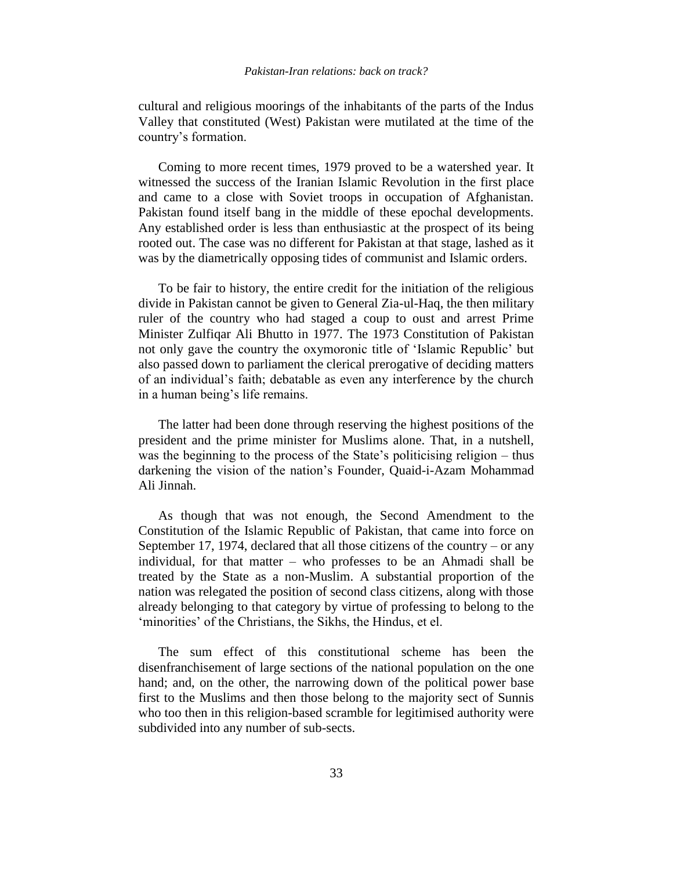### *Pakistan-Iran relations: back on track?*

cultural and religious moorings of the inhabitants of the parts of the Indus Valley that constituted (West) Pakistan were mutilated at the time of the country's formation.

Coming to more recent times, 1979 proved to be a watershed year. It witnessed the success of the Iranian Islamic Revolution in the first place and came to a close with Soviet troops in occupation of Afghanistan. Pakistan found itself bang in the middle of these epochal developments. Any established order is less than enthusiastic at the prospect of its being rooted out. The case was no different for Pakistan at that stage, lashed as it was by the diametrically opposing tides of communist and Islamic orders.

To be fair to history, the entire credit for the initiation of the religious divide in Pakistan cannot be given to General Zia-ul-Haq, the then military ruler of the country who had staged a coup to oust and arrest Prime Minister Zulfiqar Ali Bhutto in 1977. The 1973 Constitution of Pakistan not only gave the country the oxymoronic title of 'Islamic Republic' but also passed down to parliament the clerical prerogative of deciding matters of an individual's faith; debatable as even any interference by the church in a human being's life remains.

The latter had been done through reserving the highest positions of the president and the prime minister for Muslims alone. That, in a nutshell, was the beginning to the process of the State's politicising religion – thus darkening the vision of the nation's Founder, Quaid-i-Azam Mohammad Ali Jinnah.

As though that was not enough, the Second Amendment to the Constitution of the Islamic Republic of Pakistan, that came into force on September 17, 1974, declared that all those citizens of the country – or any individual, for that matter – who professes to be an Ahmadi shall be treated by the State as a non-Muslim. A substantial proportion of the nation was relegated the position of second class citizens, along with those already belonging to that category by virtue of professing to belong to the 'minorities' of the Christians, the Sikhs, the Hindus, et el.

The sum effect of this constitutional scheme has been the disenfranchisement of large sections of the national population on the one hand; and, on the other, the narrowing down of the political power base first to the Muslims and then those belong to the majority sect of Sunnis who too then in this religion-based scramble for legitimised authority were subdivided into any number of sub-sects.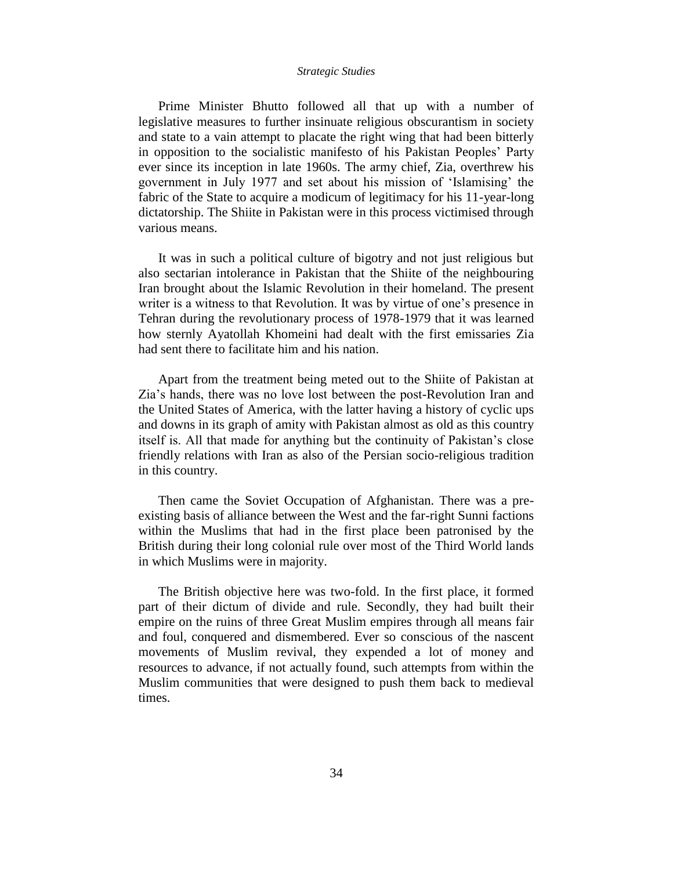Prime Minister Bhutto followed all that up with a number of legislative measures to further insinuate religious obscurantism in society and state to a vain attempt to placate the right wing that had been bitterly in opposition to the socialistic manifesto of his Pakistan Peoples' Party ever since its inception in late 1960s. The army chief, Zia, overthrew his government in July 1977 and set about his mission of 'Islamising' the fabric of the State to acquire a modicum of legitimacy for his 11-year-long dictatorship. The Shiite in Pakistan were in this process victimised through various means.

It was in such a political culture of bigotry and not just religious but also sectarian intolerance in Pakistan that the Shiite of the neighbouring Iran brought about the Islamic Revolution in their homeland. The present writer is a witness to that Revolution. It was by virtue of one's presence in Tehran during the revolutionary process of 1978-1979 that it was learned how sternly Ayatollah Khomeini had dealt with the first emissaries Zia had sent there to facilitate him and his nation.

Apart from the treatment being meted out to the Shiite of Pakistan at Zia's hands, there was no love lost between the post-Revolution Iran and the United States of America, with the latter having a history of cyclic ups and downs in its graph of amity with Pakistan almost as old as this country itself is. All that made for anything but the continuity of Pakistan's close friendly relations with Iran as also of the Persian socio-religious tradition in this country.

Then came the Soviet Occupation of Afghanistan. There was a preexisting basis of alliance between the West and the far-right Sunni factions within the Muslims that had in the first place been patronised by the British during their long colonial rule over most of the Third World lands in which Muslims were in majority.

The British objective here was two-fold. In the first place, it formed part of their dictum of divide and rule. Secondly, they had built their empire on the ruins of three Great Muslim empires through all means fair and foul, conquered and dismembered. Ever so conscious of the nascent movements of Muslim revival, they expended a lot of money and resources to advance, if not actually found, such attempts from within the Muslim communities that were designed to push them back to medieval times.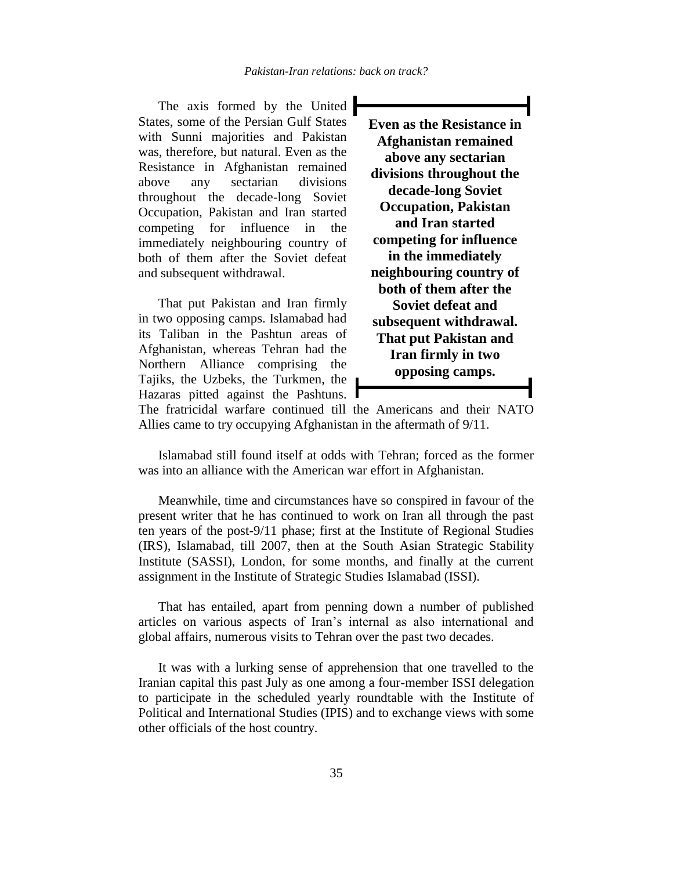The axis formed by the United  $\blacksquare$ States, some of the Persian Gulf States with Sunni majorities and Pakistan was, therefore, but natural. Even as the Resistance in Afghanistan remained above any sectarian divisions throughout the decade-long Soviet Occupation, Pakistan and Iran started competing for influence in the immediately neighbouring country of both of them after the Soviet defeat and subsequent withdrawal.

That put Pakistan and Iran firmly in two opposing camps. Islamabad had its Taliban in the Pashtun areas of Afghanistan, whereas Tehran had the Northern Alliance comprising the Tajiks, the Uzbeks, the Turkmen, the Hazaras pitted against the Pashtuns.  $\blacksquare$  **Even as the Resistance in Afghanistan remained above any sectarian divisions throughout the decade-long Soviet Occupation, Pakistan and Iran started competing for influence in the immediately neighbouring country of both of them after the Soviet defeat and subsequent withdrawal. That put Pakistan and Iran firmly in two opposing camps.**

The fratricidal warfare continued till the Americans and their NATO Allies came to try occupying Afghanistan in the aftermath of 9/11.

Islamabad still found itself at odds with Tehran; forced as the former was into an alliance with the American war effort in Afghanistan.

Meanwhile, time and circumstances have so conspired in favour of the present writer that he has continued to work on Iran all through the past ten years of the post-9/11 phase; first at the Institute of Regional Studies (IRS), Islamabad, till 2007, then at the South Asian Strategic Stability Institute (SASSI), London, for some months, and finally at the current assignment in the Institute of Strategic Studies Islamabad (ISSI).

That has entailed, apart from penning down a number of published articles on various aspects of Iran's internal as also international and global affairs, numerous visits to Tehran over the past two decades.

It was with a lurking sense of apprehension that one travelled to the Iranian capital this past July as one among a four-member ISSI delegation to participate in the scheduled yearly roundtable with the Institute of Political and International Studies (IPIS) and to exchange views with some other officials of the host country.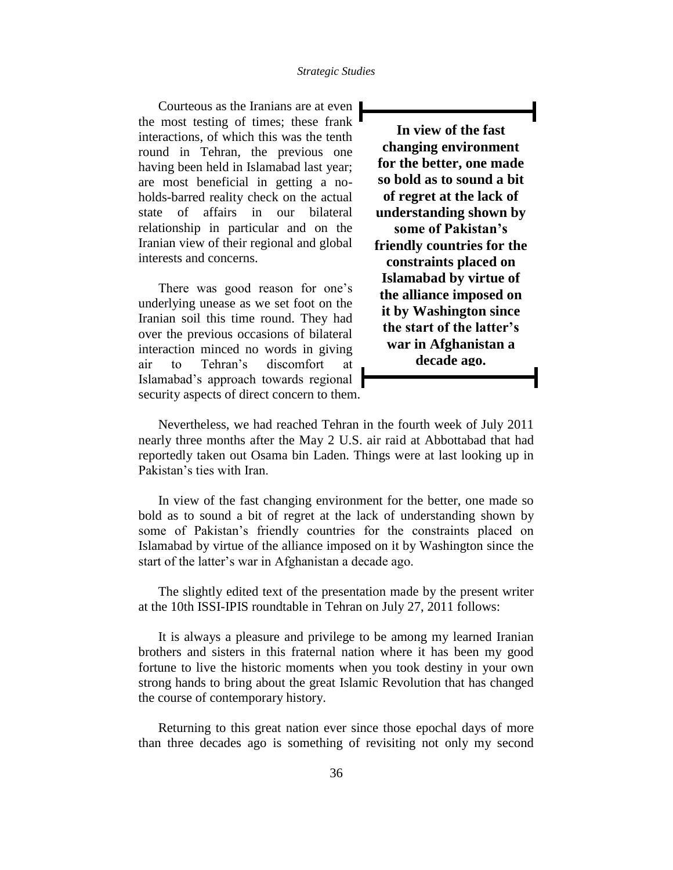Courteous as the Iranians are at even the most testing of times; these frank interactions, of which this was the tenth round in Tehran, the previous one having been held in Islamabad last year; are most beneficial in getting a noholds-barred reality check on the actual state of affairs in our bilateral relationship in particular and on the Iranian view of their regional and global interests and concerns.

There was good reason for one's underlying unease as we set foot on the Iranian soil this time round. They had over the previous occasions of bilateral interaction minced no words in giving air to Tehran's discomfort at Islamabad's approach towards regional security aspects of direct concern to them.

**In view of the fast changing environment for the better, one made so bold as to sound a bit of regret at the lack of understanding shown by some of Pakistan's friendly countries for the constraints placed on Islamabad by virtue of the alliance imposed on it by Washington since the start of the latter's war in Afghanistan a decade ago.**

Nevertheless, we had reached Tehran in the fourth week of July 2011 nearly three months after the May 2 U.S. air raid at Abbottabad that had reportedly taken out Osama bin Laden. Things were at last looking up in Pakistan's ties with Iran.

In view of the fast changing environment for the better, one made so bold as to sound a bit of regret at the lack of understanding shown by some of Pakistan's friendly countries for the constraints placed on Islamabad by virtue of the alliance imposed on it by Washington since the start of the latter's war in Afghanistan a decade ago.

The slightly edited text of the presentation made by the present writer at the 10th ISSI-IPIS roundtable in Tehran on July 27, 2011 follows:

It is always a pleasure and privilege to be among my learned Iranian brothers and sisters in this fraternal nation where it has been my good fortune to live the historic moments when you took destiny in your own strong hands to bring about the great Islamic Revolution that has changed the course of contemporary history.

Returning to this great nation ever since those epochal days of more than three decades ago is something of revisiting not only my second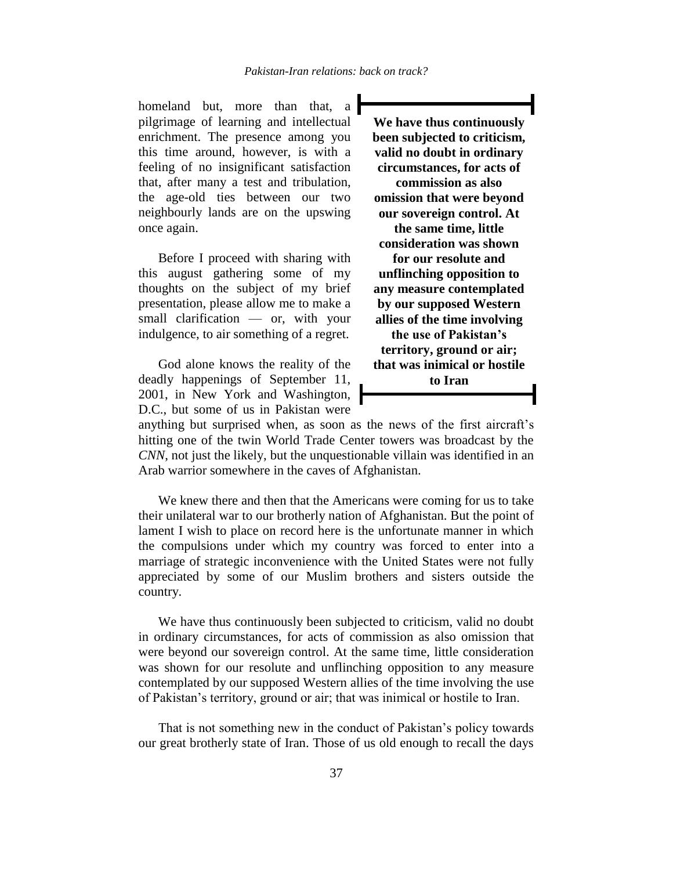homeland but, more than that, a pilgrimage of learning and intellectual enrichment. The presence among you this time around, however, is with a feeling of no insignificant satisfaction that, after many a test and tribulation, the age-old ties between our two neighbourly lands are on the upswing once again.

Before I proceed with sharing with this august gathering some of my thoughts on the subject of my brief presentation, please allow me to make a small clarification — or, with your indulgence, to air something of a regret.

God alone knows the reality of the deadly happenings of September 11, 2001, in New York and Washington, D.C., but some of us in Pakistan were

**We have thus continuously been subjected to criticism, valid no doubt in ordinary circumstances, for acts of commission as also omission that were beyond our sovereign control. At the same time, little consideration was shown for our resolute and unflinching opposition to any measure contemplated by our supposed Western allies of the time involving the use of Pakistan's territory, ground or air; that was inimical or hostile to Iran**

anything but surprised when, as soon as the news of the first aircraft's hitting one of the twin World Trade Center towers was broadcast by the *CNN*, not just the likely, but the unquestionable villain was identified in an Arab warrior somewhere in the caves of Afghanistan.

We knew there and then that the Americans were coming for us to take their unilateral war to our brotherly nation of Afghanistan. But the point of lament I wish to place on record here is the unfortunate manner in which the compulsions under which my country was forced to enter into a marriage of strategic inconvenience with the United States were not fully appreciated by some of our Muslim brothers and sisters outside the country.

We have thus continuously been subjected to criticism, valid no doubt in ordinary circumstances, for acts of commission as also omission that were beyond our sovereign control. At the same time, little consideration was shown for our resolute and unflinching opposition to any measure contemplated by our supposed Western allies of the time involving the use of Pakistan's territory, ground or air; that was inimical or hostile to Iran.

That is not something new in the conduct of Pakistan's policy towards our great brotherly state of Iran. Those of us old enough to recall the days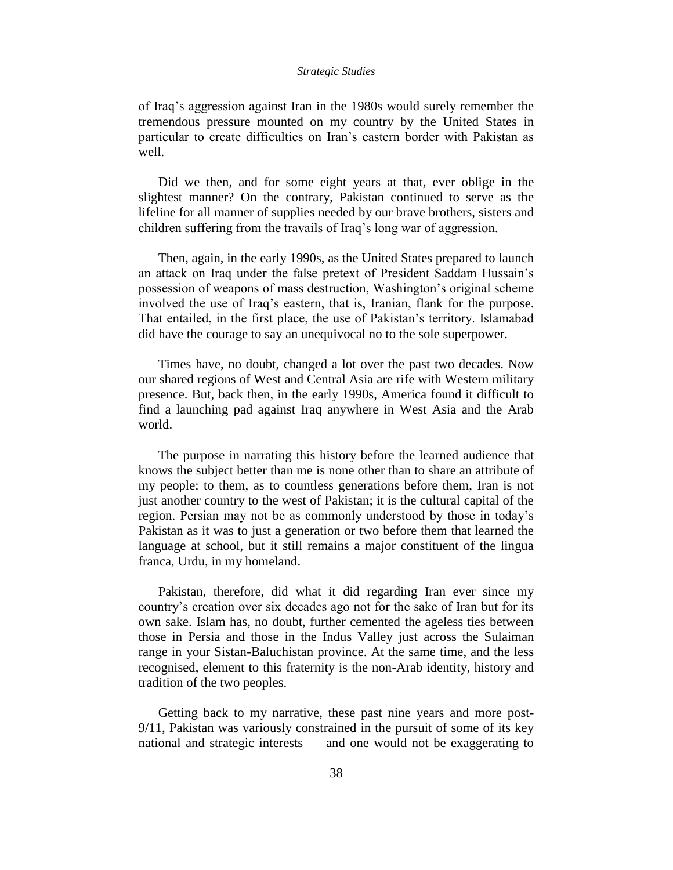of Iraq's aggression against Iran in the 1980s would surely remember the tremendous pressure mounted on my country by the United States in particular to create difficulties on Iran's eastern border with Pakistan as well.

Did we then, and for some eight years at that, ever oblige in the slightest manner? On the contrary, Pakistan continued to serve as the lifeline for all manner of supplies needed by our brave brothers, sisters and children suffering from the travails of Iraq's long war of aggression.

Then, again, in the early 1990s, as the United States prepared to launch an attack on Iraq under the false pretext of President Saddam Hussain's possession of weapons of mass destruction, Washington's original scheme involved the use of Iraq's eastern, that is, Iranian, flank for the purpose. That entailed, in the first place, the use of Pakistan's territory. Islamabad did have the courage to say an unequivocal no to the sole superpower.

Times have, no doubt, changed a lot over the past two decades. Now our shared regions of West and Central Asia are rife with Western military presence. But, back then, in the early 1990s, America found it difficult to find a launching pad against Iraq anywhere in West Asia and the Arab world.

The purpose in narrating this history before the learned audience that knows the subject better than me is none other than to share an attribute of my people: to them, as to countless generations before them, Iran is not just another country to the west of Pakistan; it is the cultural capital of the region. Persian may not be as commonly understood by those in today's Pakistan as it was to just a generation or two before them that learned the language at school, but it still remains a major constituent of the lingua franca, Urdu, in my homeland.

Pakistan, therefore, did what it did regarding Iran ever since my country's creation over six decades ago not for the sake of Iran but for its own sake. Islam has, no doubt, further cemented the ageless ties between those in Persia and those in the Indus Valley just across the Sulaiman range in your Sistan-Baluchistan province. At the same time, and the less recognised, element to this fraternity is the non-Arab identity, history and tradition of the two peoples.

Getting back to my narrative, these past nine years and more post-9/11, Pakistan was variously constrained in the pursuit of some of its key national and strategic interests — and one would not be exaggerating to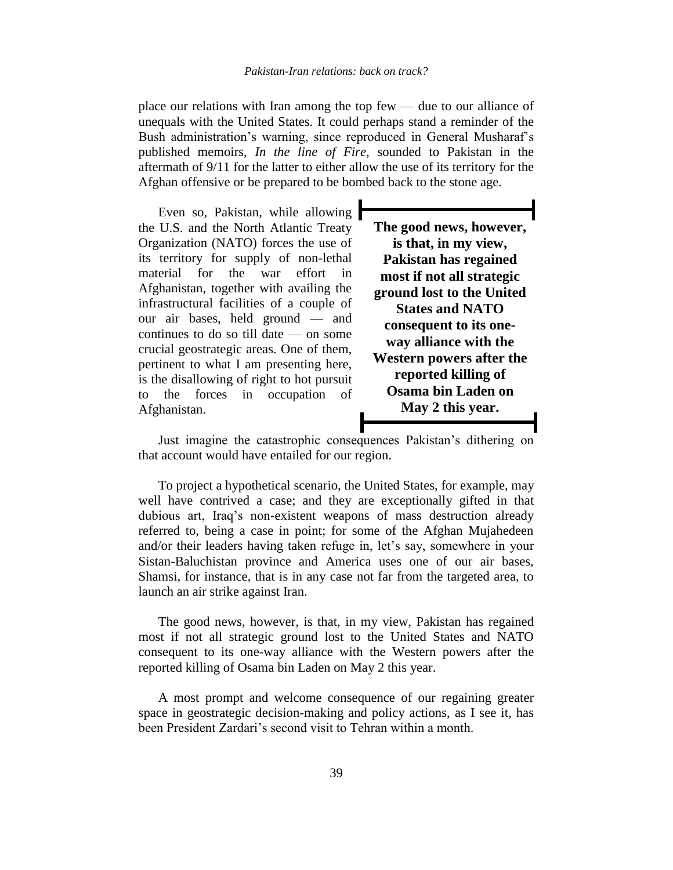place our relations with Iran among the top few — due to our alliance of unequals with the United States. It could perhaps stand a reminder of the Bush administration's warning, since reproduced in General Musharaf's published memoirs, *In the line of Fire*, sounded to Pakistan in the aftermath of 9/11 for the latter to either allow the use of its territory for the Afghan offensive or be prepared to be bombed back to the stone age.

Even so, Pakistan, while allowing the U.S. and the North Atlantic Treaty Organization (NATO) forces the use of its territory for supply of non-lethal material for the war effort in Afghanistan, together with availing the infrastructural facilities of a couple of our air bases, held ground — and continues to do so till date — on some crucial geostrategic areas. One of them, pertinent to what I am presenting here, is the disallowing of right to hot pursuit to the forces in occupation of Afghanistan.

**The good news, however, is that, in my view, Pakistan has regained most if not all strategic ground lost to the United States and NATO consequent to its oneway alliance with the Western powers after the reported killing of Osama bin Laden on May 2 this year.**

Just imagine the catastrophic consequences Pakistan's dithering on that account would have entailed for our region.

To project a hypothetical scenario, the United States, for example, may well have contrived a case; and they are exceptionally gifted in that dubious art, Iraq's non-existent weapons of mass destruction already referred to, being a case in point; for some of the Afghan Mujahedeen and/or their leaders having taken refuge in, let's say, somewhere in your Sistan-Baluchistan province and America uses one of our air bases, Shamsi, for instance, that is in any case not far from the targeted area, to launch an air strike against Iran.

The good news, however, is that, in my view, Pakistan has regained most if not all strategic ground lost to the United States and NATO consequent to its one-way alliance with the Western powers after the reported killing of Osama bin Laden on May 2 this year.

A most prompt and welcome consequence of our regaining greater space in geostrategic decision-making and policy actions, as I see it, has been President Zardari's second visit to Tehran within a month.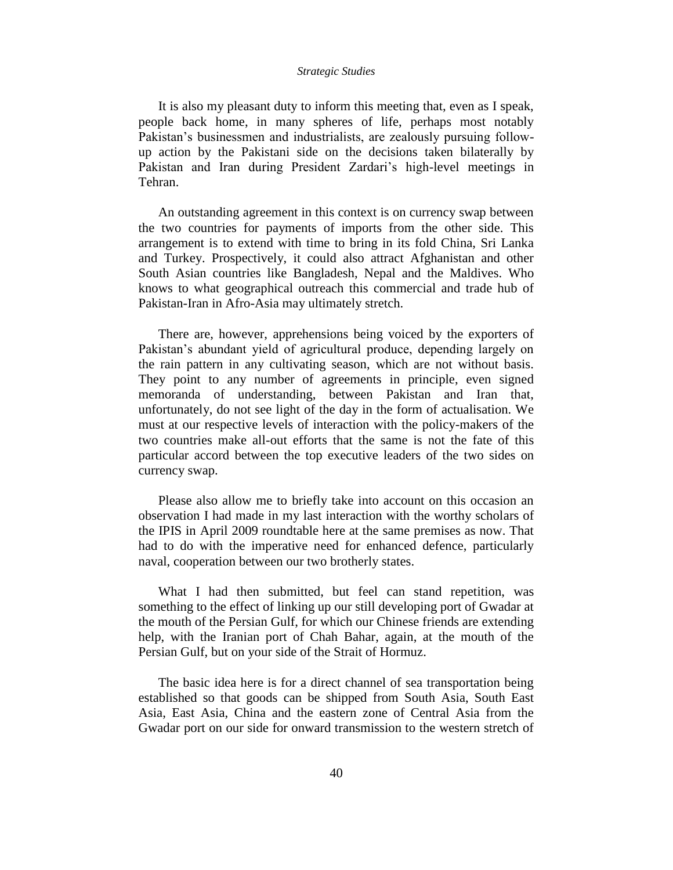It is also my pleasant duty to inform this meeting that, even as I speak, people back home, in many spheres of life, perhaps most notably Pakistan's businessmen and industrialists, are zealously pursuing followup action by the Pakistani side on the decisions taken bilaterally by Pakistan and Iran during President Zardari's high-level meetings in Tehran.

An outstanding agreement in this context is on currency swap between the two countries for payments of imports from the other side. This arrangement is to extend with time to bring in its fold China, Sri Lanka and Turkey. Prospectively, it could also attract Afghanistan and other South Asian countries like Bangladesh, Nepal and the Maldives. Who knows to what geographical outreach this commercial and trade hub of Pakistan-Iran in Afro-Asia may ultimately stretch.

There are, however, apprehensions being voiced by the exporters of Pakistan's abundant yield of agricultural produce, depending largely on the rain pattern in any cultivating season, which are not without basis. They point to any number of agreements in principle, even signed memoranda of understanding, between Pakistan and Iran that, unfortunately, do not see light of the day in the form of actualisation. We must at our respective levels of interaction with the policy-makers of the two countries make all-out efforts that the same is not the fate of this particular accord between the top executive leaders of the two sides on currency swap.

Please also allow me to briefly take into account on this occasion an observation I had made in my last interaction with the worthy scholars of the IPIS in April 2009 roundtable here at the same premises as now. That had to do with the imperative need for enhanced defence, particularly naval, cooperation between our two brotherly states.

What I had then submitted, but feel can stand repetition, was something to the effect of linking up our still developing port of Gwadar at the mouth of the Persian Gulf, for which our Chinese friends are extending help, with the Iranian port of Chah Bahar, again, at the mouth of the Persian Gulf, but on your side of the Strait of Hormuz.

The basic idea here is for a direct channel of sea transportation being established so that goods can be shipped from South Asia, South East Asia, East Asia, China and the eastern zone of Central Asia from the Gwadar port on our side for onward transmission to the western stretch of